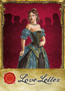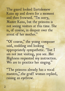The guard looked Bartolemew Kaiss up and down for a moment and then frowned. "I'm sorry, Master Kaiss, but the princess is not seeing visitors at this time. She is, of course, in despair over the arrest of her mother."

"Of course," the young composer said, nodding and looking appropriately sympathetic. "But I am not just visiting, you see. Her Highness requested my instruction. We are to practice her singing."

"The princess already has a vocal maestro," the gruff woman replied, raising an eyebrow.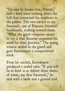"I'm sure he knows that, Odette," said a kind voice echoing down the hall that connected the residence to the palace. The two turned to see Susannah, one of Princess Annette's handmaids, walking toward them. "What the good composer means to say is that Annette requested his work for their practice." The young woman smiled at the guard and

gave Bartolemew a conspiratorial wink.

From his satchel, Bartolemew produced a sealed tube. "If you will be so kind as to deliver these sheets of music, my dear Susannah," he said with a smile and a genteel nod.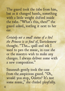The guard took the tube from him, but as it changed hands, something with a little weight shifted inside the tube. "What's this, then?" the guard asked, jostling it next to her ear.

*Certainly not a small statue of a bird the Princess is so fond of*, Bartolemew thought. "The… quill and ink I used to pen the music, in case she or the maestro wish to make any changes. I always deliver some with a new composition."

Susannah gently took the case from the suspicious guard. "Oh, would you stop, Odette? It's just some music," she chided playfully.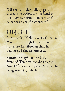"I'll see to it that milady gets these," she added with a hand on Bartolemew's arm. "I'm sure she'll be eager to see the contents."

# **OBJECT**

In the wake of the arrest of Queen Marianna for high treason, none was more heartbroken than her daughter, Princess Annette.

Suitors throughout the City-State of Tempest sought to ease Annette's sorrow by courting her to bring some joy into her life.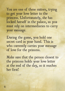You are one of these suitors, trying to get your love letter to the princess. Unfortunately, she has locked herself in the palace, so you must rely on intermediaries to carry your message.

During the game, you hold one secret card in your hand. This is who currently carries your message of love for the princess.

Make sure that the person closest to the princess holds your love letter at the end of the day, so it reaches her first!

6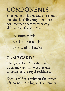# **COMPONENTS**

Your game of LOVE LETTER should include the following. If it does not, contact customerservice@ alderac.com for assistance.

- 16 game cards
- 4 reference cards
- • tokens of affection

# **GAME CARDS**

The game has 16 cards. Each different card name represents someone at the royal residence.

Each card has a value in the upper left corner—the higher the number,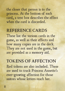the closer that person is to the princess. At the bottom of each card, a text box describes the effect when the card is discarded.

# reference cards

These list the various cards in the game, as well as their effects and how many copies are in the deck. They are not used in the game, but are provided as a memory aid.

### tokens of affection

Red tokens are also included. These are used to track Princess Annette's ever-growing affection for those suitors whose letters reach her.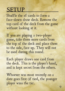# **SETUP**

Shuffle the 16 cards to form a face-down draw deck. Remove the top card of the deck from the game without looking at it.

If you are playing a two-player game, take three more cards from the top of the deck and place them to the side, face up. They will not be used during this round.

Each player draws one card from the deck. This is the player's hand, and is kept secret from the others.

Whoever was most recently on a date goes first (if tied, the younger player wins the tie).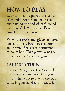# how to play

LOVE LETTER is played in a series of rounds. Each round represents one day. At the end of each round, one player's letter reaches Princess Annette, and she reads it.

When she reads enough letters from one suitor, she becomes enamored and grants that suitor permission to court her. That player wins the princess's heart and the game.

# taking a turn

On your turn, draw the top card from the deck and add it to your hand. Then choose one of the two cards in your hand and discard it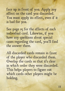face up in front of you. Apply any effect on the card you discarded. You must apply its effect, even if it is bad for you.

See page 15 for the effects of each individual card. Likewise, if you have any questions about special cases regarding the card, you'll find the answer there.

All discarded cards remain in front of the player who discarded them. Overlap the cards so that it's clear in which order they were discarded. This helps players to figure out which cards other players might be holding.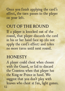Once you finish applying the card's effect, the turn passes to the player on your left.

### out of the round

If a player is knocked out of the round, that player discards the card in his or her hand face up (do not apply the card's effect) and takes no more turns until next round.

# **HONESTY**

A player could cheat when chosen with the Guard, or fail to discard the Countess when that player has the King or Prince in hand. We suggest that you don't play with knaves who cheat at fun, light games.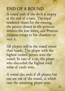# end of a round

A round ends if the deck is empty at the end of a turn. The royal residence closes for the evening, the person closest to the princess delivers the love letter, and Princess Annette retires to her chambers to read it.

All players still in the round reveal their hands. The player with the highest ranked person wins the round. In case of a tie, the player who discarded the highest total value of cards wins.

A round also ends if all players but one are out of the round, in which case the remaining player wins.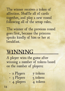The winner receives a token of affection. Shuffle all 16 cards together, and play a new round following all of the setup rules.

The winner of the previous round goes first, because the princess speaks kindly of him or her at breakfast.

# WINNING

A player wins the game after winning a number of tokens based on the number of players:

- 2 Players 7 tokens
- 3 Players 5 tokens
- 4 players 4 tokens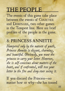# the people

The events of this game take place between the events of COURTIER and DOMINARE, two other games in the Tempest line. Here are brief profiles of the people in the game.

### 8: princess annette

*Hampered only by the naïveté of youth, Princess Annette is elegant, charming, and beautiful. Obviously, you want the princess to carry your letter. However, she is self-conscious about matters of the heart, and if confronted, will toss your letter in the fire and deny ever seeing it.*

If you discard the Princess—no matter how or why—she has tossed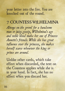#### your letter into the fire. You are knocked out of the round.

# 7: countess wilhelmina

*Always on the prowl for a handsome man or juicy gossip, Wilhelmina's age and noble blood make her one of Princess Annette's friends. While she has great influence over the princess, she makes herself scarce whenever the king or prince are around.* 

Unlike other cards, which take effect when discarded, the text on the Countess applies while she is in your hand. In fact, she has no effect when you discard her.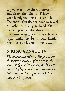If you ever have the Countess and either the King or Prince in your hand, you must discard the Countess. You do not have to reveal the other card in your hand. Of course, you can also discard the Countess even if you do not have a royal family member in your hand. She likes to play mind games....

### 6: king arnaud iv

*The undisputed ruler of Tempest… for the moment. Because of his role in the arrest of Q ueen Marianna, he does not rate as highly with Princess Annette as a father should. He hopes to work himself back into her graces.*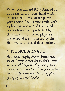When you discard King Arnaud IV, trade the card in your hand with the card held by another player of your choice. You cannot trade with a player who is out of the round, nor with someone protected by the Handmaid. If all other players still in the round are protected by the Handmaid, this card does nothing.

### 5: prince arnaud

*As a social gadfly, Prince Arnaud was not as distressed over his mother's arrest as one would suppose. Since many women clamor for his attention, he hopes to help his sister find the same banal happiness by playing the matchmaker.*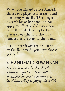When you discard Prince Arnaud, choose one player still in the round (including yourself). That player discards his or her hand (do not apply its effect) and draws a new card. If the deck is empty, that player draws the card that was removed at the start of the round.

If all other players are protected by the Handmaid, you must choose yourself.

4: handmaid susannah *Few would trust a handmaid with a letter of importance. Fewer still understand Susannah's cleverness, or her skilled ability at playing the foolish*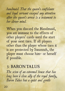*handmaid. That the queen's confidante and loyal servant escaped any attention after the queen's arrest is a testament to her clever mind.* 

When you discard the Handmaid, you are immune to the effects of other players' cards until the start of your next turn. If all players other than the player whose turn it is are protected by Susannah, the player must choose him- or herself if possible.

### 3: baron talus

*The scion of an esteemed house that has long been a close ally of the royal family, Baron Talus has a quiet and gentle*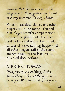*demeanor that conceals a man used to being obeyed. His suggestions are treated as if they came from the king himself.*

When discarded, choose one other player still in the round. You and that player secretly compare your hands. The player with the lower rank is knocked out of the round. In case of a tie, nothing happens. If all other players still in the round are protected by the Handmaid, this card does nothing.

# 2: priest tomas

*Open, honest, and uplifting, Father Tomas always seeks out the opportunity to do good. With the arrest of the queen,*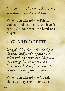*he is often seen about the palace, acting as confessor, counselor, and friend.* 

When you discard the Priest, you can look at one other player's hand. Do not reveal the hand to all players.

# 1: GUARD ODETTE

*Charged with seeing to the security of the royal family, Odette follows her orders with persistence and diligence… even though her mentor is said to have drowned while fleeing arrest for complicity in the queen's treason.*

When you discard the Guard, choose a player and name a card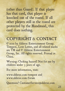(other than Guard). If that player has that card, that player is knocked out of the round. If all other players still in the round are protected by the Handmaid, this card does nothing.

# copyright & contact

© 2012 by Alderac Entertainment Group. Tempest, Love Letter, and all related marks are TM and © Alderac Entertainment Group, Inc. All rights reserved. Printed in China.

Warning: Choking hazard! Not for use by children under 3 years of age.

For more information, visit:

www.alderac.com/tempest and www.alderac.com/forum

Questions? CustomerService@alderac.com